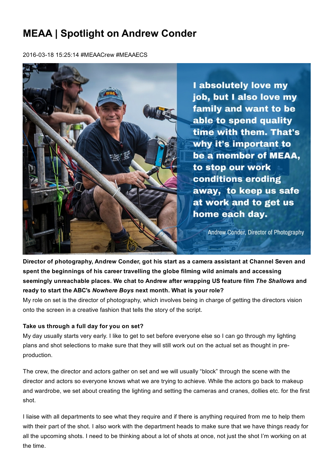# MEAA | Spotlight on Andrew Conder

2016-03-18 15:25:14 #MEAACrew #MEAAECS



Director of photography, Andrew Conder, got his start as a camera assistant at Channel Seven and spent the beginnings of his career travelling the globe filming wild animals and accessing seemingly unreachable places. We chat to Andrew after wrapping US feature film *The Shallows* and ready to start the ABC's *Nowhere Boys* next month. What is your role?

My role on set is the director of photography, which involves being in charge of getting the directors vision onto the screen in a creative fashion that tells the story of the script.

## Take us through a full day for you on set?

My day usually starts very early. I like to get to set before everyone else so I can go through my lighting plans and shot selections to make sure that they will still work out on the actual set as thought in preproduction.

The crew, the director and actors gather on set and we will usually "block" through the scene with the director and actors so everyone knows what we are trying to achieve. While the actors go back to makeup and wardrobe, we set about creating the lighting and setting the cameras and cranes, dollies etc. for the first shot.

I liaise with all departments to see what they require and if there is anything required from me to help them with their part of the shot. I also work with the department heads to make sure that we have things ready for all the upcoming shots. I need to be thinking about a lot of shots at once, not just the shot I'm working on at the time.